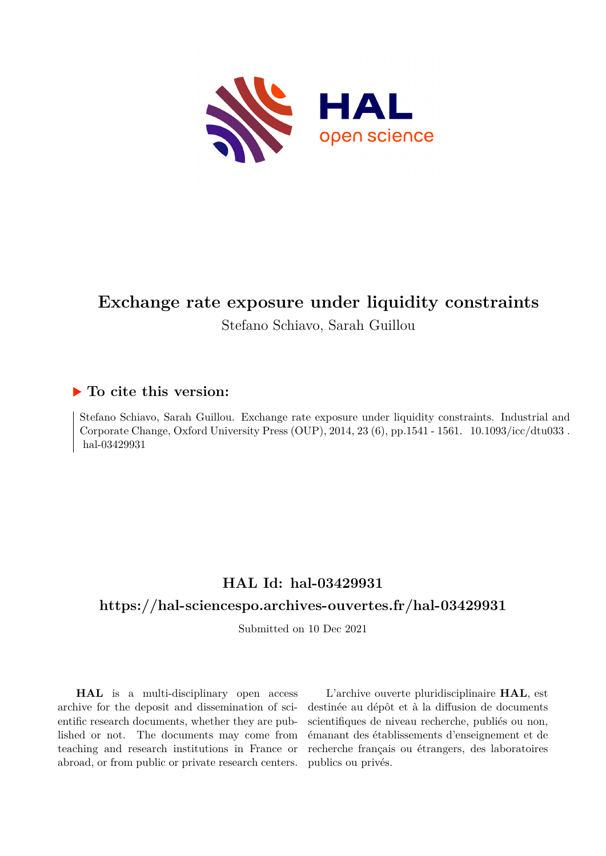

## **Exchange rate exposure under liquidity constraints**

Stefano Schiavo, Sarah Guillou

## **To cite this version:**

Stefano Schiavo, Sarah Guillou. Exchange rate exposure under liquidity constraints. Industrial and Corporate Change, Oxford University Press (OUP), 2014, 23 (6), pp.1541 - 1561.  $10.1093/ice/dtu033$ . hal-03429931

## **HAL Id: hal-03429931**

## **<https://hal-sciencespo.archives-ouvertes.fr/hal-03429931>**

Submitted on 10 Dec 2021

**HAL** is a multi-disciplinary open access archive for the deposit and dissemination of scientific research documents, whether they are published or not. The documents may come from teaching and research institutions in France or abroad, or from public or private research centers.

L'archive ouverte pluridisciplinaire **HAL**, est destinée au dépôt et à la diffusion de documents scientifiques de niveau recherche, publiés ou non, émanant des établissements d'enseignement et de recherche français ou étrangers, des laboratoires publics ou privés.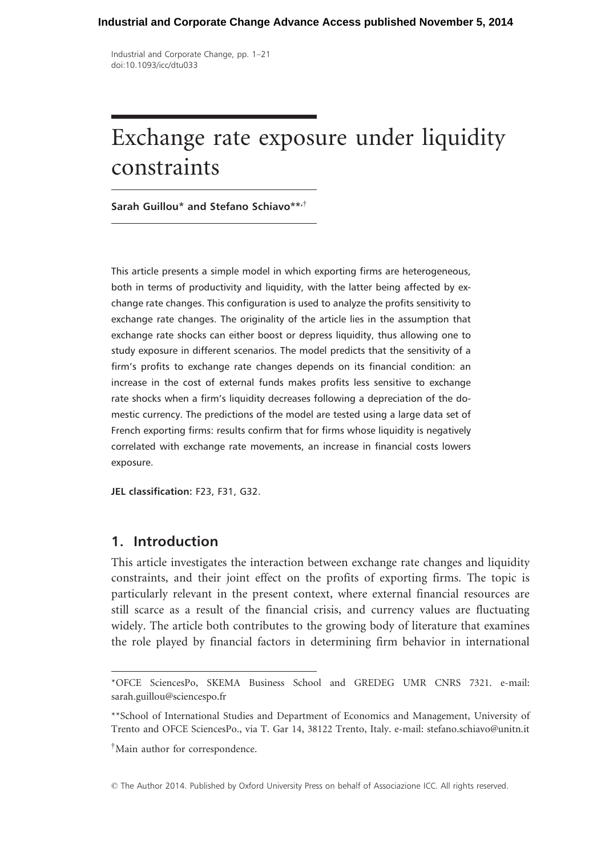Industrial and Corporate Change, pp. 1–21 doi:10.1093/icc/dtu033

# Exchange rate exposure under liquidity constraints

Sarah Guillou\* and Stefano Schiavo\*\*'

This article presents a simple model in which exporting firms are heterogeneous, both in terms of productivity and liquidity, with the latter being affected by exchange rate changes. This configuration is used to analyze the profits sensitivity to exchange rate changes. The originality of the article lies in the assumption that exchange rate shocks can either boost or depress liquidity, thus allowing one to study exposure in different scenarios. The model predicts that the sensitivity of a firm's profits to exchange rate changes depends on its financial condition: an increase in the cost of external funds makes profits less sensitive to exchange rate shocks when a firm's liquidity decreases following a depreciation of the domestic currency. The predictions of the model are tested using a large data set of French exporting firms: results confirm that for firms whose liquidity is negatively correlated with exchange rate movements, an increase in financial costs lowers exposure.

JEL classification: F23, F31, G32.

### 1. Introduction

This article investigates the interaction between exchange rate changes and liquidity constraints, and their joint effect on the profits of exporting firms. The topic is particularly relevant in the present context, where external financial resources are still scarce as a result of the financial crisis, and currency values are fluctuating widely. The article both contributes to the growing body of literature that examines the role played by financial factors in determining firm behavior in international

<sup>†</sup>Main author for correspondence.

- The Author 2014. Published by Oxford University Press on behalf of Associazione ICC. All rights reserved.

<sup>\*</sup>OFCE SciencesPo, SKEMA Business School and GREDEG UMR CNRS 7321. e-mail: sarah.guillou@sciencespo.fr

<sup>\*\*</sup>School of International Studies and Department of Economics and Management, University of Trento and OFCE SciencesPo., via T. Gar 14, 38122 Trento, Italy. e-mail: stefano.schiavo@unitn.it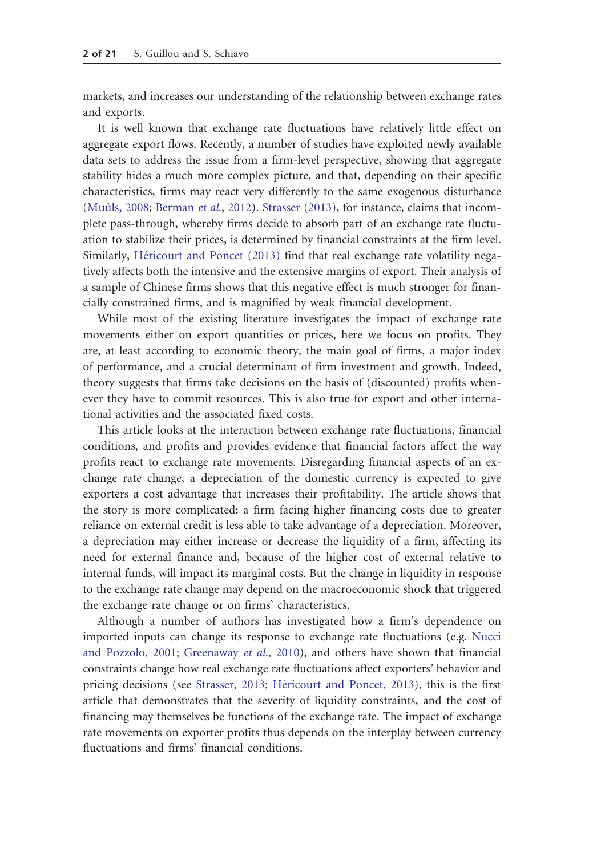markets, and increases our understanding of the relationship between exchange rates and exports.

It is well known that exchange rate fluctuations have relatively little effect on aggregate export flows. Recently, a number of studies have exploited newly available data sets to address the issue from a firm-level perspective, showing that aggregate stability hides a much more complex picture, and that, depending on their specific characteristics, firms may react very differently to the same exogenous disturbance (Muûls, 2008; Berman et al., 2012). Strasser (2013), for instance, claims that incomplete pass-through, whereby firms decide to absorb part of an exchange rate fluctuation to stabilize their prices, is determined by financial constraints at the firm level. Similarly, Héricourt and Poncet  $(2013)$  find that real exchange rate volatility negatively affects both the intensive and the extensive margins of export. Their analysis of a sample of Chinese firms shows that this negative effect is much stronger for financially constrained firms, and is magnified by weak financial development.

While most of the existing literature investigates the impact of exchange rate movements either on export quantities or prices, here we focus on profits. They are, at least according to economic theory, the main goal of firms, a major index of performance, and a crucial determinant of firm investment and growth. Indeed, theory suggests that firms take decisions on the basis of (discounted) profits whenever they have to commit resources. This is also true for export and other international activities and the associated fixed costs.

This article looks at the interaction between exchange rate fluctuations, financial conditions, and profits and provides evidence that financial factors affect the way profits react to exchange rate movements. Disregarding financial aspects of an exchange rate change, a depreciation of the domestic currency is expected to give exporters a cost advantage that increases their profitability. The article shows that the story is more complicated: a firm facing higher financing costs due to greater reliance on external credit is less able to take advantage of a depreciation. Moreover, a depreciation may either increase or decrease the liquidity of a firm, affecting its need for external finance and, because of the higher cost of external relative to internal funds, will impact its marginal costs. But the change in liquidity in response to the exchange rate change may depend on the macroeconomic shock that triggered the exchange rate change or on firms' characteristics.

Although a number of authors has investigated how a firm's dependence on imported inputs can change its response to exchange rate fluctuations (e.g. Nucci and Pozzolo, 2001; Greenaway et al., 2010), and others have shown that financial constraints change how real exchange rate fluctuations affect exporters' behavior and pricing decisions (see Strasser, 2013; Héricourt and Poncet, 2013), this is the first article that demonstrates that the severity of liquidity constraints, and the cost of financing may themselves be functions of the exchange rate. The impact of exchange rate movements on exporter profits thus depends on the interplay between currency fluctuations and firms' financial conditions.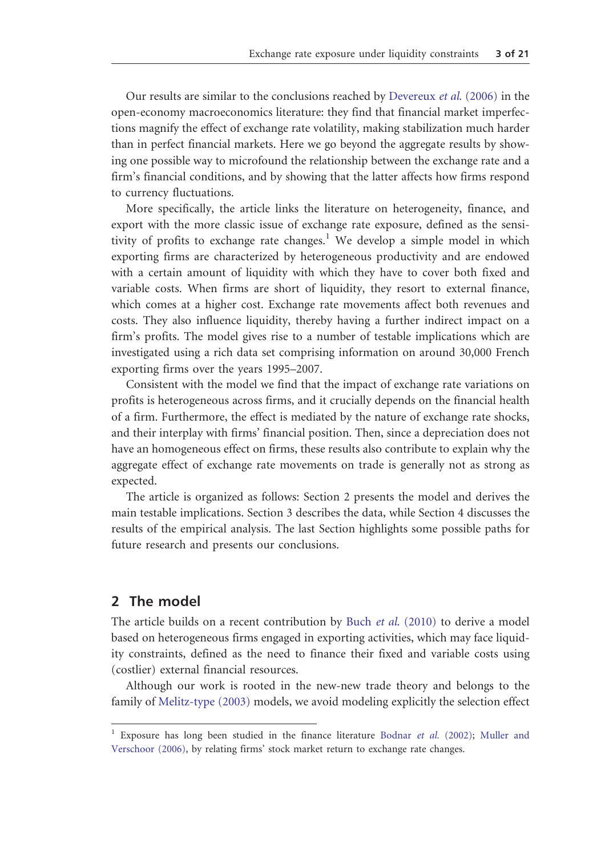Our results are similar to the conclusions reached by Devereux *et al.* (2006) in the open-economy macroeconomics literature: they find that financial market imperfections magnify the effect of exchange rate volatility, making stabilization much harder than in perfect financial markets. Here we go beyond the aggregate results by showing one possible way to microfound the relationship between the exchange rate and a firm's financial conditions, and by showing that the latter affects how firms respond to currency fluctuations.

More specifically, the article links the literature on heterogeneity, finance, and export with the more classic issue of exchange rate exposure, defined as the sensitivity of profits to exchange rate changes.<sup>1</sup> We develop a simple model in which exporting firms are characterized by heterogeneous productivity and are endowed with a certain amount of liquidity with which they have to cover both fixed and variable costs. When firms are short of liquidity, they resort to external finance, which comes at a higher cost. Exchange rate movements affect both revenues and costs. They also influence liquidity, thereby having a further indirect impact on a firm's profits. The model gives rise to a number of testable implications which are investigated using a rich data set comprising information on around 30,000 French exporting firms over the years 1995–2007.

Consistent with the model we find that the impact of exchange rate variations on profits is heterogeneous across firms, and it crucially depends on the financial health of a firm. Furthermore, the effect is mediated by the nature of exchange rate shocks, and their interplay with firms' financial position. Then, since a depreciation does not have an homogeneous effect on firms, these results also contribute to explain why the aggregate effect of exchange rate movements on trade is generally not as strong as expected.

The article is organized as follows: Section 2 presents the model and derives the main testable implications. Section 3 describes the data, while Section 4 discusses the results of the empirical analysis. The last Section highlights some possible paths for future research and presents our conclusions.

### 2 The model

The article builds on a recent contribution by Buch et al. (2010) to derive a model based on heterogeneous firms engaged in exporting activities, which may face liquidity constraints, defined as the need to finance their fixed and variable costs using (costlier) external financial resources.

Although our work is rooted in the new-new trade theory and belongs to the family of Melitz-type (2003) models, we avoid modeling explicitly the selection effect

<sup>&</sup>lt;sup>1</sup> Exposure has long been studied in the finance literature Bodnar et al. (2002); Muller and Verschoor (2006), by relating firms' stock market return to exchange rate changes.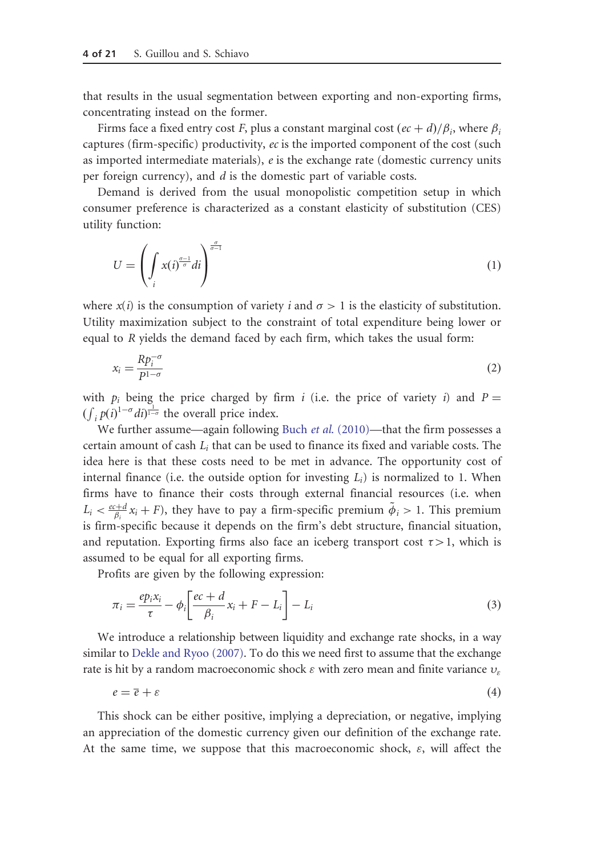that results in the usual segmentation between exporting and non-exporting firms, concentrating instead on the former.

Firms face a fixed entry cost F, plus a constant marginal cost  $(ec+d)/\beta_i$ , where  $\beta_i$ captures (firm-specific) productivity, ec is the imported component of the cost (such as imported intermediate materials), e is the exchange rate (domestic currency units per foreign currency), and d is the domestic part of variable costs.

Demand is derived from the usual monopolistic competition setup in which consumer preference is characterized as a constant elasticity of substitution (CES) utility function:

$$
U = \left(\int\limits_i x(i)^{\frac{\sigma-1}{\sigma}} di\right)^{\frac{\sigma}{\sigma-1}}
$$
 (1)

where  $x(i)$  is the consumption of variety i and  $\sigma > 1$  is the elasticity of substitution. Utility maximization subject to the constraint of total expenditure being lower or equal to R yields the demand faced by each firm, which takes the usual form:

$$
x_i = \frac{Rp_i^{-\sigma}}{P^{1-\sigma}}
$$
 (2)

with  $p_i$  being the price charged by firm i (i.e. the price of variety i) and P =  $\int_{i}^{1} p(i)^{1-\sigma} di)^{\frac{1}{1-\sigma}}$  the overall price index.

We further assume—again following Buch *et al.* (2010)—that the firm possesses a certain amount of cash  $L_i$  that can be used to finance its fixed and variable costs. The idea here is that these costs need to be met in advance. The opportunity cost of internal finance (i.e. the outside option for investing  $L_i$ ) is normalized to 1. When firms have to finance their costs through external financial resources (i.e. when  $L_i < \frac{ec+d}{\beta_i}x_i + F$ ), they have to pay a firm-specific premium  $\tilde{\phi}_i > 1$ . This premium is firm-specific because it depends on the firm's debt structure, financial situation, and reputation. Exporting firms also face an iceberg transport cost  $\tau > 1$ , which is assumed to be equal for all exporting firms.

Profits are given by the following expression:

$$
\pi_i = \frac{ep_i x_i}{\tau} - \phi_i \left[ \frac{ec + d}{\beta_i} x_i + F - L_i \right] - L_i \tag{3}
$$

We introduce a relationship between liquidity and exchange rate shocks, in a way similar to Dekle and Ryoo (2007). To do this we need first to assume that the exchange rate is hit by a random macroeconomic shock  $\varepsilon$  with zero mean and finite variance  $v_{\varepsilon}$ 

 $e = \overline{e} + \varepsilon$  (4)

This shock can be either positive, implying a depreciation, or negative, implying an appreciation of the domestic currency given our definition of the exchange rate. At the same time, we suppose that this macroeconomic shock,  $\varepsilon$ , will affect the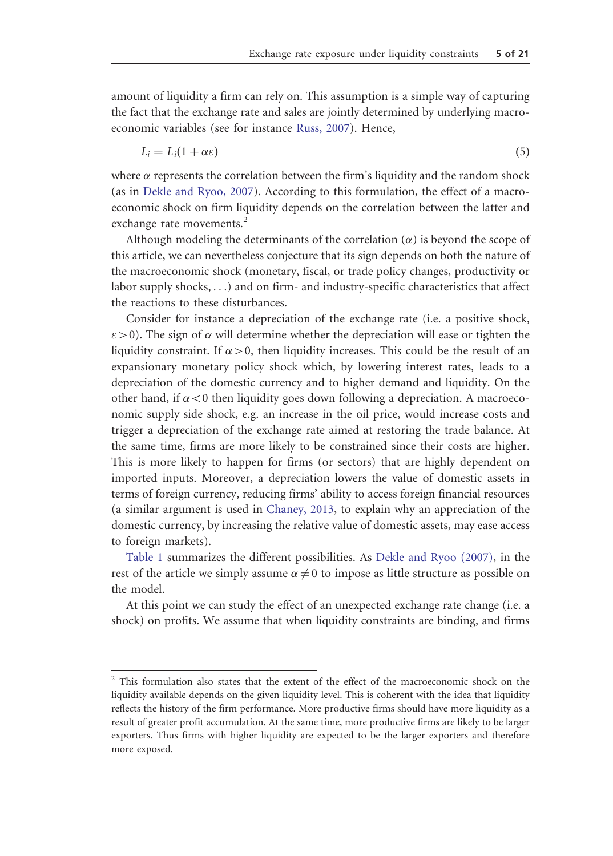amount of liquidity a firm can rely on. This assumption is a simple way of capturing the fact that the exchange rate and sales are jointly determined by underlying macroeconomic variables (see for instance Russ, 2007). Hence,

$$
L_i = \overline{L}_i(1 + \alpha \varepsilon) \tag{5}
$$

where  $\alpha$  represents the correlation between the firm's liquidity and the random shock (as in Dekle and Ryoo, 2007). According to this formulation, the effect of a macroeconomic shock on firm liquidity depends on the correlation between the latter and exchange rate movements.<sup>2</sup>

Although modeling the determinants of the correlation  $(\alpha)$  is beyond the scope of this article, we can nevertheless conjecture that its sign depends on both the nature of the macroeconomic shock (monetary, fiscal, or trade policy changes, productivity or labor supply shocks, ...) and on firm- and industry-specific characteristics that affect the reactions to these disturbances.

Consider for instance a depreciation of the exchange rate (i.e. a positive shock,  $\varepsilon > 0$ ). The sign of  $\alpha$  will determine whether the depreciation will ease or tighten the liquidity constraint. If  $\alpha > 0$ , then liquidity increases. This could be the result of an expansionary monetary policy shock which, by lowering interest rates, leads to a depreciation of the domestic currency and to higher demand and liquidity. On the other hand, if  $\alpha < 0$  then liquidity goes down following a depreciation. A macroeconomic supply side shock, e.g. an increase in the oil price, would increase costs and trigger a depreciation of the exchange rate aimed at restoring the trade balance. At the same time, firms are more likely to be constrained since their costs are higher. This is more likely to happen for firms (or sectors) that are highly dependent on imported inputs. Moreover, a depreciation lowers the value of domestic assets in terms of foreign currency, reducing firms' ability to access foreign financial resources (a similar argument is used in Chaney, 2013, to explain why an appreciation of the domestic currency, by increasing the relative value of domestic assets, may ease access to foreign markets).

Table 1 summarizes the different possibilities. As Dekle and Ryoo (2007), in the rest of the article we simply assume  $\alpha \neq 0$  to impose as little structure as possible on the model.

At this point we can study the effect of an unexpected exchange rate change (i.e. a shock) on profits. We assume that when liquidity constraints are binding, and firms

<sup>&</sup>lt;sup>2</sup> This formulation also states that the extent of the effect of the macroeconomic shock on the liquidity available depends on the given liquidity level. This is coherent with the idea that liquidity reflects the history of the firm performance. More productive firms should have more liquidity as a result of greater profit accumulation. At the same time, more productive firms are likely to be larger exporters. Thus firms with higher liquidity are expected to be the larger exporters and therefore more exposed.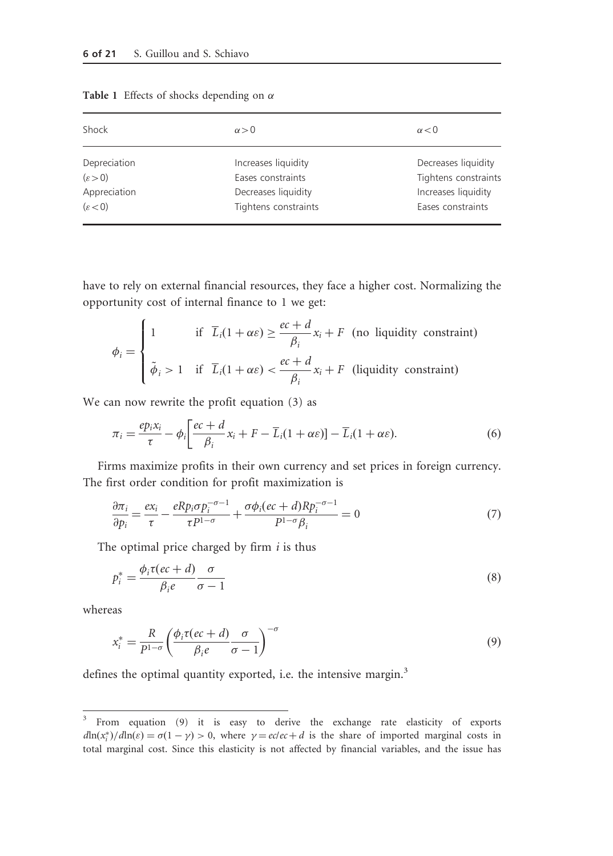| Shock               | $\alpha > 0$         | $\alpha$ < 0         |  |  |
|---------------------|----------------------|----------------------|--|--|
| Depreciation        | Increases liquidity  | Decreases liquidity  |  |  |
| $(\varepsilon > 0)$ | Eases constraints    | Tightens constraints |  |  |
| Appreciation        | Decreases liquidity  | Increases liquidity  |  |  |
| $(\varepsilon < 0)$ | Tightens constraints | Eases constraints    |  |  |

Table 1 Effects of shocks depending on  $\alpha$ 

have to rely on external financial resources, they face a higher cost. Normalizing the opportunity cost of internal finance to 1 we get:

$$
\phi_i = \begin{cases}\n1 & \text{if } \overline{L}_i(1 + \alpha \varepsilon) \ge \frac{ec + d}{\beta_i} x_i + F \text{ (no liquidity constraint)} \\
\tilde{\phi}_i > 1 \text{ if } \overline{L}_i(1 + \alpha \varepsilon) < \frac{ec + d}{\beta_i} x_i + F \text{ (liquidity constraint)}\n\end{cases}
$$

We can now rewrite the profit equation (3) as

$$
\pi_i = \frac{e p_i x_i}{\tau} - \phi_i \left[ \frac{e c + d}{\beta_i} x_i + F - \overline{L}_i (1 + \alpha \varepsilon) \right] - \overline{L}_i (1 + \alpha \varepsilon).
$$
\n(6)

Firms maximize profits in their own currency and set prices in foreign currency. The first order condition for profit maximization is

$$
\frac{\partial \pi_i}{\partial p_i} = \frac{ex_i}{\tau} - \frac{eRp_i\sigma p_i^{-\sigma - 1}}{\tau P^{1 - \sigma}} + \frac{\sigma\phi_i(e_c + d)Rp_i^{-\sigma - 1}}{P^{1 - \sigma}\beta_i} = 0
$$
\n<sup>(7)</sup>

The optimal price charged by firm  $i$  is thus

$$
p_i^* = \frac{\phi_i \tau (ec + d)}{\beta_i e} \frac{\sigma}{\sigma - 1}
$$
\n(8)

whereas

$$
x_i^* = \frac{R}{P^{1-\sigma}} \left( \frac{\phi_i \tau(e c + d)}{\beta_i e} \frac{\sigma}{\sigma - 1} \right)^{-\sigma} \tag{9}
$$

defines the optimal quantity exported, i.e. the intensive margin.<sup>3</sup>

<sup>&</sup>lt;sup>3</sup> From equation (9) it is easy to derive the exchange rate elasticity of exports  $dln(x_i^*)/dln(\varepsilon) = \sigma(1 - \gamma) > 0$ , where  $\gamma = ec/ec + d$  is the share of imported marginal costs in total marginal cost. Since this elasticity is not affected by financial variables, and the issue has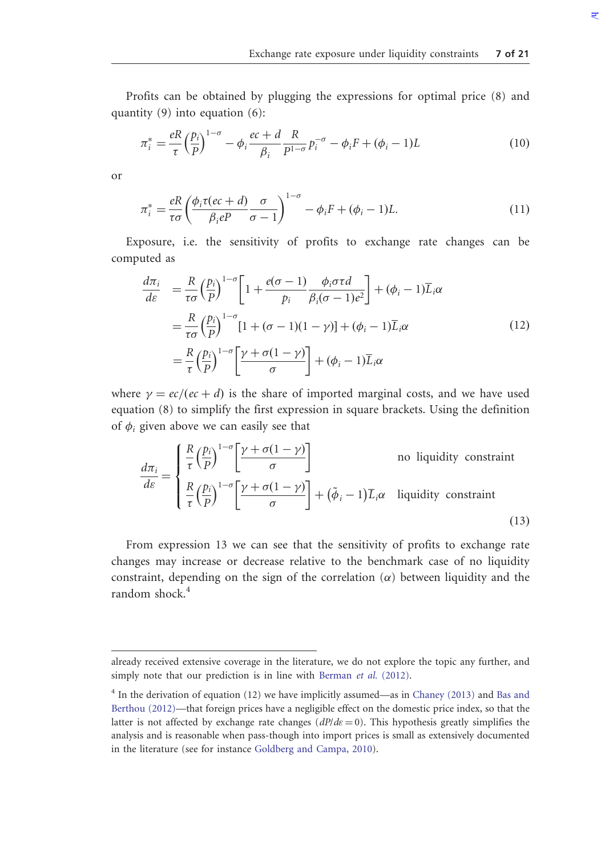Profits can be obtained by plugging the expressions for optimal price (8) and quantity (9) into equation (6):

$$
\pi_i^* = \frac{eR}{\tau} \left(\frac{p_i}{p}\right)^{1-\sigma} - \phi_i \frac{ec+d}{\beta_i} \frac{R}{p^{1-\sigma}} p_i^{-\sigma} - \phi_i F + (\phi_i - 1)L \tag{10}
$$

or

$$
\pi_i^* = \frac{eR}{\tau \sigma} \left( \frac{\phi_i \tau (ec + d)}{\beta_i eP} \frac{\sigma}{\sigma - 1} \right)^{1 - \sigma} - \phi_i F + (\phi_i - 1)L. \tag{11}
$$

Exposure, i.e. the sensitivity of profits to exchange rate changes can be computed as

$$
\frac{d\pi_i}{d\varepsilon} = \frac{R}{\tau\sigma} \left(\frac{p_i}{p}\right)^{1-\sigma} \left[1 + \frac{e(\sigma - 1)}{p_i} \frac{\phi_i \sigma \tau d}{\beta_i (\sigma - 1) e^2}\right] + (\phi_i - 1) \overline{L}_i \alpha
$$
\n
$$
= \frac{R}{\tau\sigma} \left(\frac{p_i}{p}\right)^{1-\sigma} \left[1 + (\sigma - 1)(1 - \gamma)\right] + (\phi_i - 1) \overline{L}_i \alpha
$$
\n
$$
= \frac{R}{\tau} \left(\frac{p_i}{p}\right)^{1-\sigma} \left[\frac{\gamma + \sigma(1 - \gamma)}{\sigma}\right] + (\phi_i - 1) \overline{L}_i \alpha
$$
\n(12)

where  $\gamma = ec/(ec+d)$  is the share of imported marginal costs, and we have used equation (8) to simplify the first expression in square brackets. Using the definition of  $\phi_i$  given above we can easily see that

$$
\frac{d\pi_i}{d\varepsilon} = \begin{cases} \frac{R}{\tau} \left(\frac{p_i}{p}\right)^{1-\sigma} \left[\frac{\gamma + \sigma(1-\gamma)}{\sigma}\right] & \text{no liquidity constraint} \\ \frac{R}{\tau} \left(\frac{p_i}{p}\right)^{1-\sigma} \left[\frac{\gamma + \sigma(1-\gamma)}{\sigma}\right] + (\tilde{\phi}_i - 1)\overline{L}_i\alpha & \text{liquidity constraint} \end{cases}
$$
(13)

From expression 13 we can see that the sensitivity of profits to exchange rate changes may increase or decrease relative to the benchmark case of no liquidity constraint, depending on the sign of the correlation  $(\alpha)$  between liquidity and the random shock.<sup>4</sup>

already received extensive coverage in the literature, we do not explore the topic any further, and simply note that our prediction is in line with Berman et al. (2012).

<sup>&</sup>lt;sup>4</sup> In the derivation of equation (12) we have implicitly assumed—as in Chaney (2013) and Bas and Berthou (2012)—that foreign prices have a negligible effect on the domestic price index, so that the latter is not affected by exchange rate changes  $(dP/d\varepsilon = 0)$ . This hypothesis greatly simplifies the analysis and is reasonable when pass-though into import prices is small as extensively documented in the literature (see for instance Goldberg and Campa, 2010).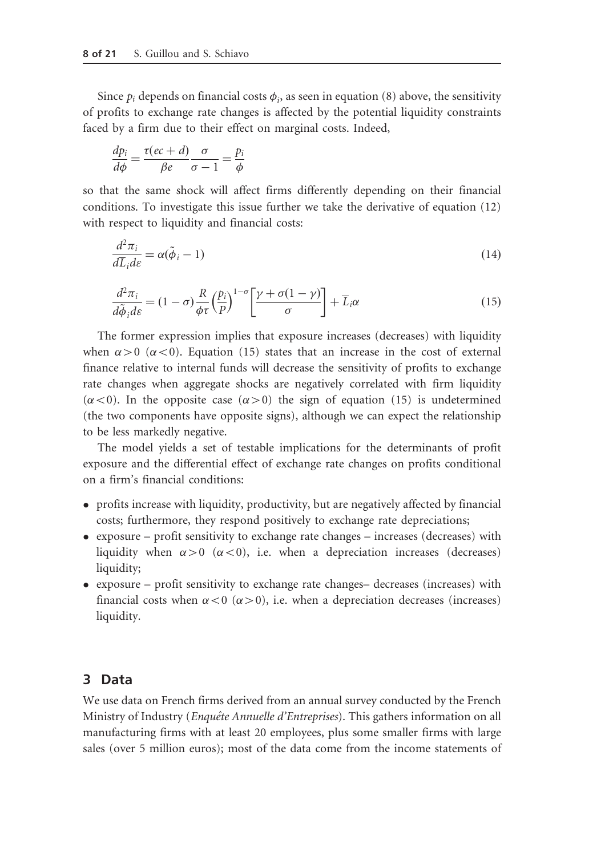Since  $p_i$  depends on financial costs  $\phi_i$ , as seen in equation (8) above, the sensitivity of profits to exchange rate changes is affected by the potential liquidity constraints faced by a firm due to their effect on marginal costs. Indeed,

$$
\frac{dp_i}{d\phi} = \frac{\tau(ec+d)}{\beta e} \frac{\sigma}{\sigma - 1} = \frac{p_i}{\phi}
$$

so that the same shock will affect firms differently depending on their financial conditions. To investigate this issue further we take the derivative of equation (12) with respect to liquidity and financial costs:

$$
\frac{d^2\pi_i}{d\bar{L}_i d\varepsilon} = \alpha(\tilde{\phi}_i - 1) \tag{14}
$$

$$
\frac{d^2 \pi_i}{d \tilde{\phi}_i d \varepsilon} = (1 - \sigma) \frac{R}{\phi \tau} \left(\frac{p_i}{P}\right)^{1 - \sigma} \left[\frac{\gamma + \sigma(1 - \gamma)}{\sigma}\right] + \overline{L}_i \alpha \tag{15}
$$

The former expression implies that exposure increases (decreases) with liquidity when  $\alpha > 0$  ( $\alpha < 0$ ). Equation (15) states that an increase in the cost of external finance relative to internal funds will decrease the sensitivity of profits to exchange rate changes when aggregate shocks are negatively correlated with firm liquidity  $(\alpha < 0)$ . In the opposite case  $(\alpha > 0)$  the sign of equation (15) is undetermined (the two components have opposite signs), although we can expect the relationship to be less markedly negative.

The model yields a set of testable implications for the determinants of profit exposure and the differential effect of exchange rate changes on profits conditional on a firm's financial conditions:

- profits increase with liquidity, productivity, but are negatively affected by financial costs; furthermore, they respond positively to exchange rate depreciations;
- exposure profit sensitivity to exchange rate changes increases (decreases) with liquidity when  $\alpha > 0$  ( $\alpha < 0$ ), i.e. when a depreciation increases (decreases) liquidity;
- exposure profit sensitivity to exchange rate changes– decreases (increases) with financial costs when  $\alpha < 0$  ( $\alpha > 0$ ), i.e. when a depreciation decreases (increases) liquidity.

#### 3 Data

We use data on French firms derived from an annual survey conducted by the French Ministry of Industry (*Enquête Annuelle d'Entreprises*). This gathers information on all manufacturing firms with at least 20 employees, plus some smaller firms with large sales (over 5 million euros); most of the data come from the income statements of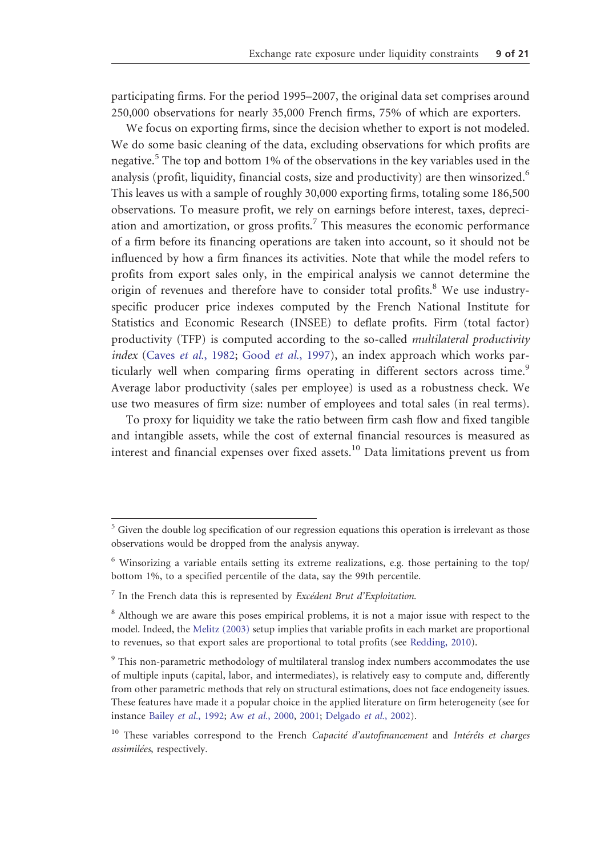participating firms. For the period 1995–2007, the original data set comprises around 250,000 observations for nearly 35,000 French firms, 75% of which are exporters.

We focus on exporting firms, since the decision whether to export is not modeled. We do some basic cleaning of the data, excluding observations for which profits are negative.<sup>5</sup> The top and bottom 1% of the observations in the key variables used in the analysis (profit, liquidity, financial costs, size and productivity) are then winsorized.<sup>6</sup> This leaves us with a sample of roughly 30,000 exporting firms, totaling some 186,500 observations. To measure profit, we rely on earnings before interest, taxes, depreciation and amortization, or gross profits.<sup>7</sup> This measures the economic performance of a firm before its financing operations are taken into account, so it should not be influenced by how a firm finances its activities. Note that while the model refers to profits from export sales only, in the empirical analysis we cannot determine the origin of revenues and therefore have to consider total profits.<sup>8</sup> We use industryspecific producer price indexes computed by the French National Institute for Statistics and Economic Research (INSEE) to deflate profits. Firm (total factor) productivity (TFP) is computed according to the so-called *multilateral productivity* index (Caves et al., 1982; Good et al., 1997), an index approach which works particularly well when comparing firms operating in different sectors across time.<sup>9</sup> Average labor productivity (sales per employee) is used as a robustness check. We use two measures of firm size: number of employees and total sales (in real terms).

To proxy for liquidity we take the ratio between firm cash flow and fixed tangible and intangible assets, while the cost of external financial resources is measured as interest and financial expenses over fixed assets.<sup>10</sup> Data limitations prevent us from

<sup>&</sup>lt;sup>5</sup> Given the double log specification of our regression equations this operation is irrelevant as those observations would be dropped from the analysis anyway.

<sup>6</sup> Winsorizing a variable entails setting its extreme realizations, e.g. those pertaining to the top/ bottom 1%, to a specified percentile of the data, say the 99th percentile.

 $7$  In the French data this is represented by *Excédent Brut d'Exploitation*.

<sup>8</sup> Although we are aware this poses empirical problems, it is not a major issue with respect to the model. Indeed, the Melitz (2003) setup implies that variable profits in each market are proportional to revenues, so that export sales are proportional to total profits (see Redding, 2010).

<sup>9</sup> This non-parametric methodology of multilateral translog index numbers accommodates the use of multiple inputs (capital, labor, and intermediates), is relatively easy to compute and, differently from other parametric methods that rely on structural estimations, does not face endogeneity issues. These features have made it a popular choice in the applied literature on firm heterogeneity (see for instance Bailey et al., 1992; Aw et al., 2000, 2001; Delgado et al., 2002).

<sup>&</sup>lt;sup>10</sup> These variables correspond to the French Capacité d'autofinancement and Intérêts et charges assimilées, respectively.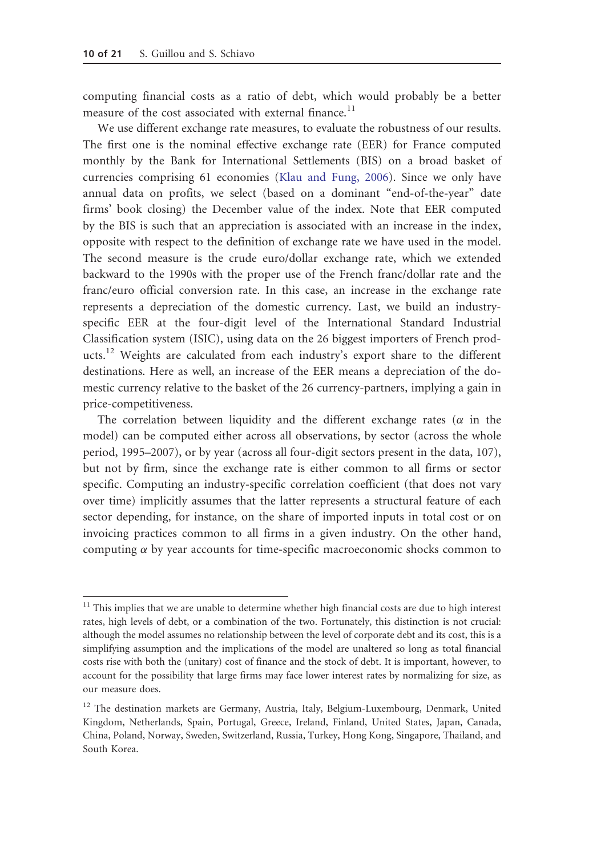computing financial costs as a ratio of debt, which would probably be a better measure of the cost associated with external finance.<sup>11</sup>

We use different exchange rate measures, to evaluate the robustness of our results. The first one is the nominal effective exchange rate (EER) for France computed monthly by the Bank for International Settlements (BIS) on a broad basket of currencies comprising 61 economies (Klau and Fung, 2006). Since we only have annual data on profits, we select (based on a dominant "end-of-the-year" date firms' book closing) the December value of the index. Note that EER computed by the BIS is such that an appreciation is associated with an increase in the index, opposite with respect to the definition of exchange rate we have used in the model. The second measure is the crude euro/dollar exchange rate, which we extended backward to the 1990s with the proper use of the French franc/dollar rate and the franc/euro official conversion rate. In this case, an increase in the exchange rate represents a depreciation of the domestic currency. Last, we build an industryspecific EER at the four-digit level of the International Standard Industrial Classification system (ISIC), using data on the 26 biggest importers of French products.<sup>12</sup> Weights are calculated from each industry's export share to the different destinations. Here as well, an increase of the EER means a depreciation of the domestic currency relative to the basket of the 26 currency-partners, implying a gain in price-competitiveness.

The correlation between liquidity and the different exchange rates ( $\alpha$  in the model) can be computed either across all observations, by sector (across the whole period, 1995–2007), or by year (across all four-digit sectors present in the data, 107), but not by firm, since the exchange rate is either common to all firms or sector specific. Computing an industry-specific correlation coefficient (that does not vary over time) implicitly assumes that the latter represents a structural feature of each sector depending, for instance, on the share of imported inputs in total cost or on invoicing practices common to all firms in a given industry. On the other hand, computing  $\alpha$  by year accounts for time-specific macroeconomic shocks common to

<sup>&</sup>lt;sup>11</sup> This implies that we are unable to determine whether high financial costs are due to high interest rates, high levels of debt, or a combination of the two. Fortunately, this distinction is not crucial: although the model assumes no relationship between the level of corporate debt and its cost, this is a simplifying assumption and the implications of the model are unaltered so long as total financial costs rise with both the (unitary) cost of finance and the stock of debt. It is important, however, to account for the possibility that large firms may face lower interest rates by normalizing for size, as our measure does.

<sup>&</sup>lt;sup>12</sup> The destination markets are Germany, Austria, Italy, Belgium-Luxembourg, Denmark, United Kingdom, Netherlands, Spain, Portugal, Greece, Ireland, Finland, United States, Japan, Canada, China, Poland, Norway, Sweden, Switzerland, Russia, Turkey, Hong Kong, Singapore, Thailand, and South Korea.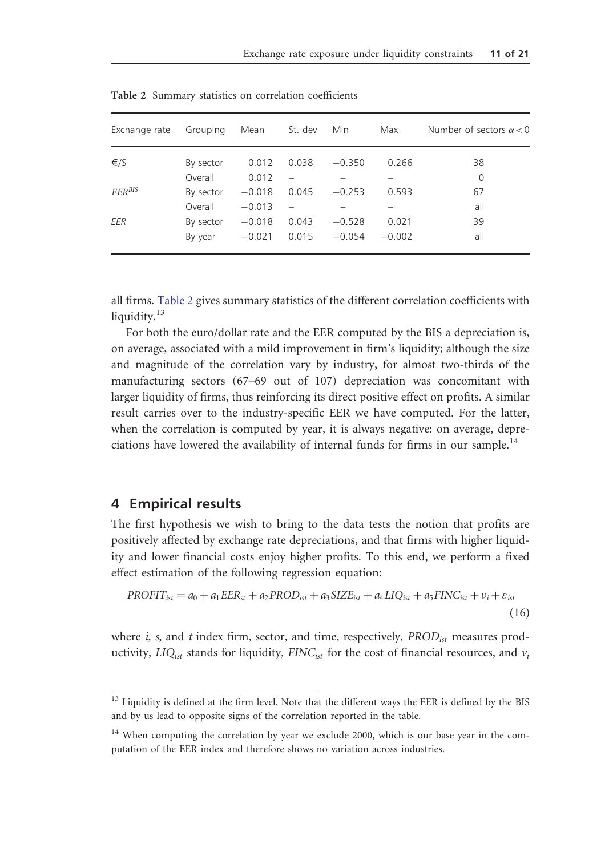| Exchange rate | Grouping  | Mean     | St. dev | Min      | Max      | Number of sectors $\alpha < 0$ |
|---------------|-----------|----------|---------|----------|----------|--------------------------------|
| €/\$          | By sector | 0.012    | 0.038   | $-0.350$ | 0.266    | 38                             |
|               | Overall   | 0.012    |         |          |          | $\mathbf 0$                    |
| <b>EERBIS</b> | By sector | $-0.018$ | 0.045   | $-0.253$ | 0.593    | 67                             |
|               | Overall   | $-0.013$ |         |          |          | all                            |
| EER           | By sector | $-0.018$ | 0.043   | $-0.528$ | 0.021    | 39                             |
|               | By year   | $-0.021$ | 0.015   | $-0.054$ | $-0.002$ | all                            |

Table 2 Summary statistics on correlation coefficients

all firms. Table 2 gives summary statistics of the different correlation coefficients with liquidity. $13$ 

For both the euro/dollar rate and the EER computed by the BIS a depreciation is, on average, associated with a mild improvement in firm's liquidity; although the size and magnitude of the correlation vary by industry, for almost two-thirds of the manufacturing sectors (67–69 out of 107) depreciation was concomitant with larger liquidity of firms, thus reinforcing its direct positive effect on profits. A similar result carries over to the industry-specific EER we have computed. For the latter, when the correlation is computed by year, it is always negative: on average, depreciations have lowered the availability of internal funds for firms in our sample.<sup>14</sup>

#### 4 Empirical results

The first hypothesis we wish to bring to the data tests the notion that profits are positively affected by exchange rate depreciations, and that firms with higher liquidity and lower financial costs enjoy higher profits. To this end, we perform a fixed effect estimation of the following regression equation:

$$
PROFIT_{ist} = a_0 + a_1 EER_{st} + a_2 PROD_{ist} + a_3 SIZE_{ist} + a_4 LIQ_{ist} + a_5 FINC_{ist} + v_i + \varepsilon_{ist}
$$
\n
$$
(16)
$$

where i, s, and t index firm, sector, and time, respectively,  $PROD_{ist}$  measures productivity,  $LIQ_{ist}$  stands for liquidity,  $FINC_{ist}$  for the cost of financial resources, and  $v_i$ 

<sup>&</sup>lt;sup>13</sup> Liquidity is defined at the firm level. Note that the different ways the EER is defined by the BIS and by us lead to opposite signs of the correlation reported in the table.

<sup>&</sup>lt;sup>14</sup> When computing the correlation by year we exclude 2000, which is our base year in the computation of the EER index and therefore shows no variation across industries.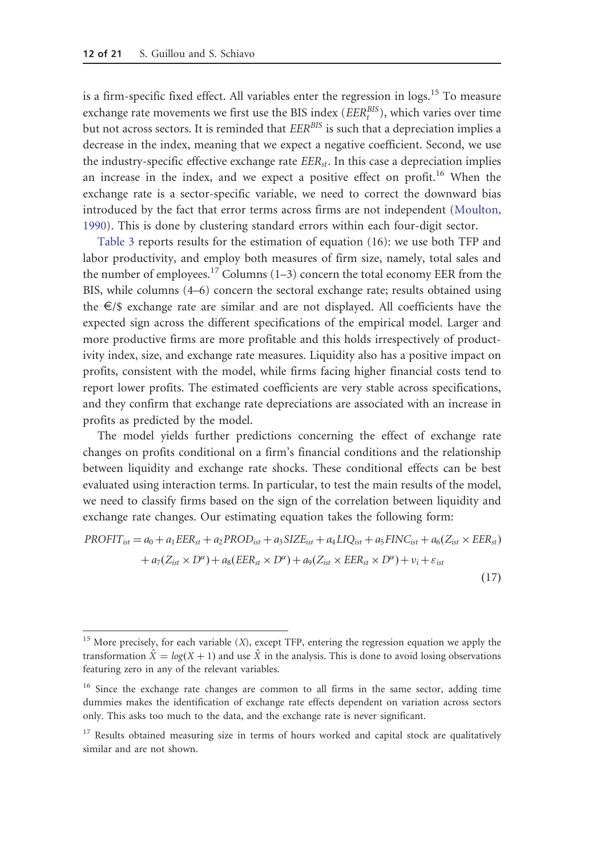is a firm-specific fixed effect. All variables enter the regression in logs.<sup>15</sup> To measure exchange rate movements we first use the BIS index ( $EER_t^{BIS}$ ), which varies over time but not across sectors. It is reminded that EER<sup>BIS</sup> is such that a depreciation implies a decrease in the index, meaning that we expect a negative coefficient. Second, we use the industry-specific effective exchange rate  $EER_{st}$ . In this case a depreciation implies an increase in the index, and we expect a positive effect on profit.<sup>16</sup> When the exchange rate is a sector-specific variable, we need to correct the downward bias introduced by the fact that error terms across firms are not independent (Moulton, 1990). This is done by clustering standard errors within each four-digit sector.

Table 3 reports results for the estimation of equation (16): we use both TFP and labor productivity, and employ both measures of firm size, namely, total sales and the number of employees.<sup>17</sup> Columns (1–3) concern the total economy EER from the BIS, while columns (4–6) concern the sectoral exchange rate; results obtained using the  $\epsilon$ /\$ exchange rate are similar and are not displayed. All coefficients have the expected sign across the different specifications of the empirical model. Larger and more productive firms are more profitable and this holds irrespectively of productivity index, size, and exchange rate measures. Liquidity also has a positive impact on profits, consistent with the model, while firms facing higher financial costs tend to report lower profits. The estimated coefficients are very stable across specifications, and they confirm that exchange rate depreciations are associated with an increase in profits as predicted by the model.

The model yields further predictions concerning the effect of exchange rate changes on profits conditional on a firm's financial conditions and the relationship between liquidity and exchange rate shocks. These conditional effects can be best evaluated using interaction terms. In particular, to test the main results of the model, we need to classify firms based on the sign of the correlation between liquidity and exchange rate changes. Our estimating equation takes the following form:

$$
PROFIT_{ist} = a_0 + a_1 EER_{st} + a_2 PROD_{ist} + a_3 SIZE_{ist} + a_4 LIQ_{ist} + a_5 FINC_{ist} + a_6(Z_{ist} \times EER_{st})
$$
  
+ 
$$
a_7(Z_{ist} \times D^{\alpha}) + a_8(EER_{st} \times D^{\alpha}) + a_9(Z_{ist} \times EER_{st} \times D^{\alpha}) + v_i + \varepsilon_{ist}
$$
(17)

 $15$  More precisely, for each variable (X), except TFP, entering the regression equation we apply the transformation  $\hat{X} = log(X + 1)$  and use  $\hat{X}$  in the analysis. This is done to avoid losing observations featuring zero in any of the relevant variables.

<sup>&</sup>lt;sup>16</sup> Since the exchange rate changes are common to all firms in the same sector, adding time dummies makes the identification of exchange rate effects dependent on variation across sectors only. This asks too much to the data, and the exchange rate is never significant.

<sup>&</sup>lt;sup>17</sup> Results obtained measuring size in terms of hours worked and capital stock are qualitatively similar and are not shown.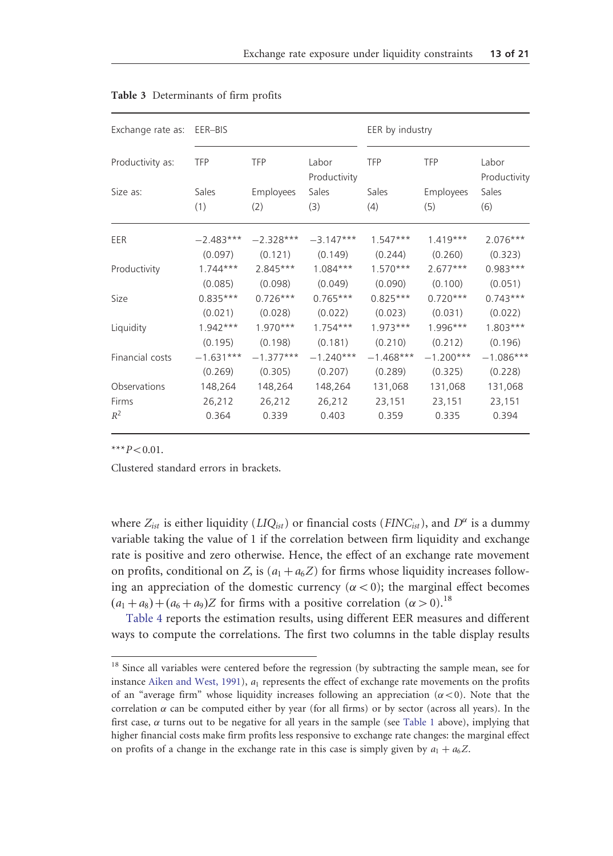| Exchange rate as: | EER-BIS     |             |                       | EER by industry |             |                       |  |
|-------------------|-------------|-------------|-----------------------|-----------------|-------------|-----------------------|--|
| Productivity as:  | TFP         | <b>TFP</b>  | Labor<br>Productivity | <b>TFP</b>      | <b>TFP</b>  | Labor<br>Productivity |  |
| Size as:          | Sales       | Employees   | Sales                 | Sales           | Employees   | Sales                 |  |
|                   | (1)         | (2)         | (3)                   | (4)             | (5)         | (6)                   |  |
| EER               | $-2.483***$ | $-2.328***$ | $-3.147***$           | $1.547***$      | $1.419***$  | $2.076***$            |  |
| Productivity      | (0.097)     | (0.121)     | (0.149)               | (0.244)         | (0.260)     | (0.323)               |  |
|                   | $1.744***$  | $2.845***$  | $1.084***$            | $1.570***$      | $2.677***$  | $0.983***$            |  |
| Size              | (0.085)     | (0.098)     | (0.049)               | (0.090)         | (0.100)     | (0.051)               |  |
|                   | $0.835***$  | $0.726***$  | $0.765***$            | $0.825***$      | $0.720***$  | $0.743***$            |  |
| Liquidity         | (0.021)     | (0.028)     | (0.022)               | (0.023)         | (0.031)     | (0.022)               |  |
|                   | $1.942***$  | $1.970***$  | $1.754***$            | $1.973***$      | $1.996***$  | $1.803***$            |  |
| Financial costs   | (0.195)     | (0.198)     | (0.181)               | (0.210)         | (0.212)     | (0.196)               |  |
|                   | $-1.631***$ | $-1.377***$ | $-1.240***$           | $-1.468***$     | $-1.200***$ | $-1.086***$           |  |
| Observations      | (0.269)     | (0.305)     | (0.207)               | (0.289)         | (0.325)     | (0.228)               |  |
|                   | 148,264     | 148,264     | 148,264               | 131,068         | 131,068     | 131,068               |  |
| Firms             | 26,212      | 26,212      | 26,212                | 23,151          | 23,151      | 23,151                |  |
| $R^2$             | 0.364       | 0.339       | 0.403                 | 0.359           | 0.335       | 0.394                 |  |

#### Table 3 Determinants of firm profits

\*\*\* $P < 0.01$ .

Clustered standard errors in brackets.

where  $Z_{ist}$  is either liquidity ( $LIQ_{ist}$ ) or financial costs ( $FINC_{ist}$ ), and  $D^{\alpha}$  is a dummy variable taking the value of 1 if the correlation between firm liquidity and exchange rate is positive and zero otherwise. Hence, the effect of an exchange rate movement on profits, conditional on Z, is  $(a_1 + a_6 Z)$  for firms whose liquidity increases following an appreciation of the domestic currency ( $\alpha$  < 0); the marginal effect becomes  $(a_1 + a_8) + (a_6 + a_9)Z$  for firms with a positive correlation  $(\alpha > 0)$ .<sup>18</sup>

Table 4 reports the estimation results, using different EER measures and different ways to compute the correlations. The first two columns in the table display results

<sup>&</sup>lt;sup>18</sup> Since all variables were centered before the regression (by subtracting the sample mean, see for instance Aiken and West, 1991),  $a_1$  represents the effect of exchange rate movements on the profits of an "average firm" whose liquidity increases following an appreciation  $(\alpha < 0)$ . Note that the correlation  $\alpha$  can be computed either by year (for all firms) or by sector (across all years). In the first case,  $\alpha$  turns out to be negative for all years in the sample (see Table 1 above), implying that higher financial costs make firm profits less responsive to exchange rate changes: the marginal effect on profits of a change in the exchange rate in this case is simply given by  $a_1 + a_6 Z$ .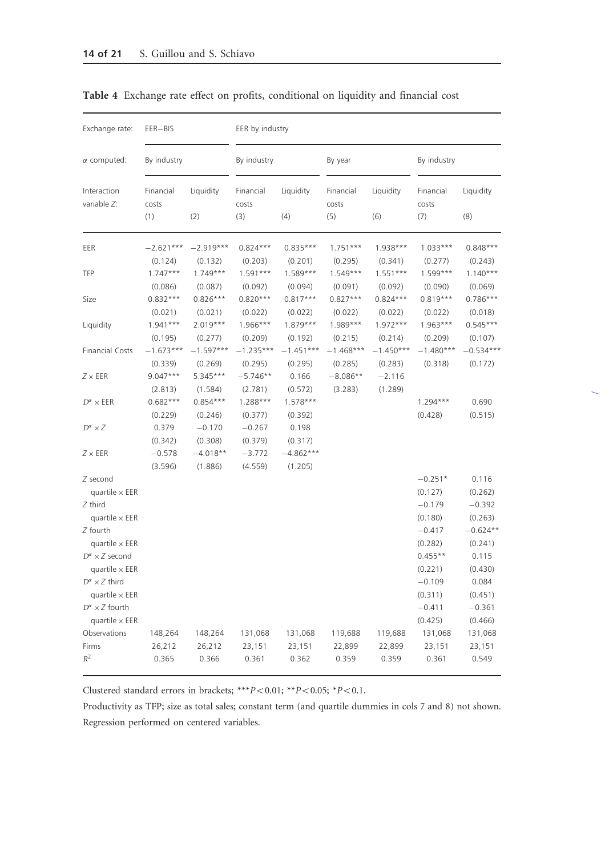| Exchange rate:                                                                 | EER-BIS<br>By industry     |                            | EER by industry            |                            |                            |                            |                                             |                                         |  |
|--------------------------------------------------------------------------------|----------------------------|----------------------------|----------------------------|----------------------------|----------------------------|----------------------------|---------------------------------------------|-----------------------------------------|--|
| $\alpha$ computed:                                                             |                            |                            | By industry                |                            | By year                    |                            | By industry                                 |                                         |  |
| Interaction<br>variable Z:                                                     | Financial<br>costs         | Liquidity                  | Financial<br>costs         | Liquidity                  | Financial<br>costs         | Liquidity                  | Financial<br>costs                          | Liquidity                               |  |
|                                                                                | (1)                        | (2)                        | (3)                        | (4)                        | (5)                        | (6)                        | (7)                                         | (8)                                     |  |
| EER                                                                            | $-2.621***$<br>(0.124)     | $-2.919***$<br>(0.132)     | $0.824***$<br>(0.203)      | $0.835***$<br>(0.201)      | $1.751***$<br>(0.295)      | $1.938***$<br>(0.341)      | $1.033***$<br>(0.277)                       | $0.848***$<br>(0.243)                   |  |
| TFP                                                                            | $1.747***$<br>(0.086)      | $1.749***$<br>(0.087)      | $1.591***$<br>(0.092)      | $1.589***$<br>(0.094)      | $1.549***$<br>(0.091)      | $1.551***$<br>(0.092)      | $1.599***$<br>(0.090)                       | $1.140***$<br>(0.069)                   |  |
| Size                                                                           | $0.832***$<br>(0.021)      | $0.826***$<br>(0.021)      | $0.820***$<br>(0.022)      | $0.817***$<br>(0.022)      | $0.827***$<br>(0.022)      | $0.824***$<br>(0.022)      | $0.819***$<br>(0.022)                       | $0.786***$<br>(0.018)                   |  |
| Liquidity                                                                      | $1.941***$<br>(0.195)      | $2.019***$<br>(0.277)      | $1.966***$<br>(0.209)      | $1.879***$<br>(0.192)      | 1.989***<br>(0.215)        | $1.972***$<br>(0.214)      | $1.963***$<br>(0.209)                       | $0.545***$<br>(0.107)                   |  |
| <b>Financial Costs</b>                                                         | $-1.673***$<br>(0.339)     | $-1.597***$<br>(0.269)     | $-1.235***$<br>(0.295)     | $-1.451***$<br>(0.295)     | $-1.468***$<br>(0.285)     | $-1.450***$<br>(0.283)     | $-1.480***$<br>(0.318)                      | $-0.534***$<br>(0.172)                  |  |
| $Z \times EER$                                                                 | $9.047***$<br>(2.813)      | $5.345***$<br>(1.584)      | $-5.746**$<br>(2.781)      | 0.166<br>(0.572)           | $-8.086**$<br>(3.283)      | $-2.116$<br>(1.289)        |                                             |                                         |  |
| $D^{\alpha}\times \mathsf{EER}$                                                | $0.682***$<br>(0.229)      | $0.854***$<br>(0.246)      | 1.288***<br>(0.377)        | $1.578***$<br>(0.392)      |                            |                            | $1.294***$<br>(0.428)                       | 0.690<br>(0.515)                        |  |
| $D^{\alpha} \times Z$                                                          | 0.379<br>(0.342)           | $-0.170$<br>(0.308)        | $-0.267$<br>(0.379)        | 0.198<br>(0.317)           |                            |                            |                                             |                                         |  |
| $Z \times EER$                                                                 | $-0.578$<br>(3.596)        | $-4.018**$<br>(1.886)      | $-3.772$<br>(4.559)        | $-4.862***$<br>(1.205)     |                            |                            |                                             |                                         |  |
| Z second<br>quartile $\times$ EER<br>Z third<br>quartile $\times$ EER          |                            |                            |                            |                            |                            |                            | $-0.251*$<br>(0.127)<br>$-0.179$<br>(0.180) | 0.116<br>(0.262)<br>$-0.392$<br>(0.263) |  |
| Z fourth<br>quartile $\times$ EER<br>$D^{\alpha} \times Z$ second              |                            |                            |                            |                            |                            |                            | $-0.417$<br>(0.282)<br>$0.455**$            | $-0.624**$<br>(0.241)<br>0.115          |  |
| quartile $\times$ EER<br>$D^{\alpha} \times Z$ third                           |                            |                            |                            |                            |                            |                            | (0.221)<br>$-0.109$                         | (0.430)<br>0.084                        |  |
| quartile $\times$ EER<br>$D^{\alpha} \times Z$ fourth<br>quartile $\times$ EER |                            |                            |                            |                            |                            |                            | (0.311)<br>$-0.411$<br>(0.425)              | (0.451)<br>$-0.361$<br>(0.466)          |  |
| Observations<br>Firms<br>$\mathbb{R}^2$                                        | 148,264<br>26,212<br>0.365 | 148,264<br>26,212<br>0.366 | 131,068<br>23,151<br>0.361 | 131,068<br>23,151<br>0.362 | 119,688<br>22,899<br>0.359 | 119,688<br>22,899<br>0.359 | 131,068<br>23,151<br>0.361                  | 131,068<br>23,151<br>0.549              |  |
|                                                                                |                            |                            |                            |                            |                            |                            |                                             |                                         |  |

|  |  |  |  | Table 4 Exchange rate effect on profits, conditional on liquidity and financial cost |  |  |  |  |
|--|--|--|--|--------------------------------------------------------------------------------------|--|--|--|--|
|--|--|--|--|--------------------------------------------------------------------------------------|--|--|--|--|

Clustered standard errors in brackets; \*\*\* $P<0.01$ ; \*\* $P<0.05$ ; \* $P<0.1$ .

Productivity as TFP; size as total sales; constant term (and quartile dummies in cols 7 and 8) not shown. Regression performed on centered variables.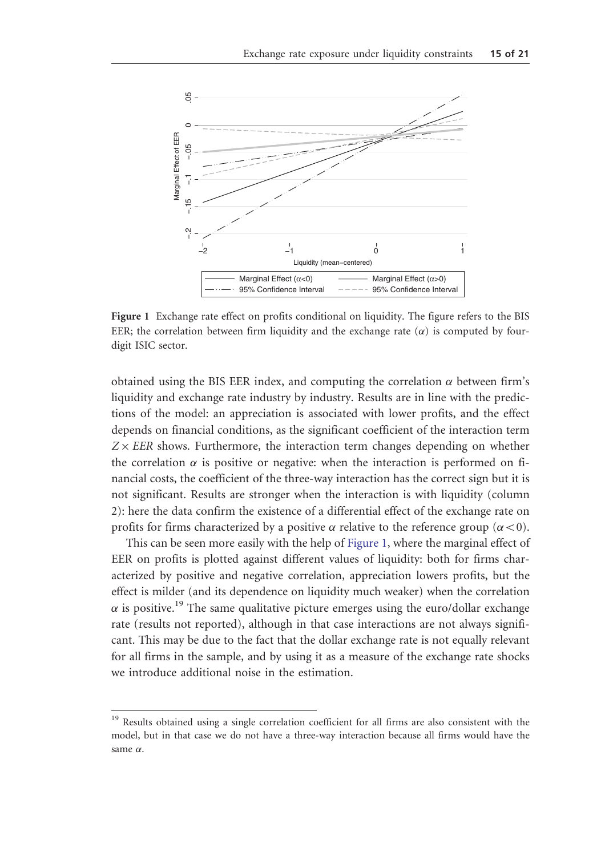

Figure 1 Exchange rate effect on profits conditional on liquidity. The figure refers to the BIS EER; the correlation between firm liquidity and the exchange rate  $(\alpha)$  is computed by fourdigit ISIC sector.

obtained using the BIS EER index, and computing the correlation  $\alpha$  between firm's liquidity and exchange rate industry by industry. Results are in line with the predictions of the model: an appreciation is associated with lower profits, and the effect depends on financial conditions, as the significant coefficient of the interaction term  $Z \times EER$  shows. Furthermore, the interaction term changes depending on whether the correlation  $\alpha$  is positive or negative: when the interaction is performed on financial costs, the coefficient of the three-way interaction has the correct sign but it is not significant. Results are stronger when the interaction is with liquidity (column 2): here the data confirm the existence of a differential effect of the exchange rate on profits for firms characterized by a positive  $\alpha$  relative to the reference group ( $\alpha$  < 0).

This can be seen more easily with the help of Figure 1, where the marginal effect of EER on profits is plotted against different values of liquidity: both for firms characterized by positive and negative correlation, appreciation lowers profits, but the effect is milder (and its dependence on liquidity much weaker) when the correlation  $\alpha$  is positive.<sup>19</sup> The same qualitative picture emerges using the euro/dollar exchange rate (results not reported), although in that case interactions are not always significant. This may be due to the fact that the dollar exchange rate is not equally relevant for all firms in the sample, and by using it as a measure of the exchange rate shocks

<sup>&</sup>lt;sup>19</sup> Results obtained using a single correlation coefficient for all firms are also consistent with the model, but in that case we do not have a three-way interaction because all firms would have the same  $\alpha$ .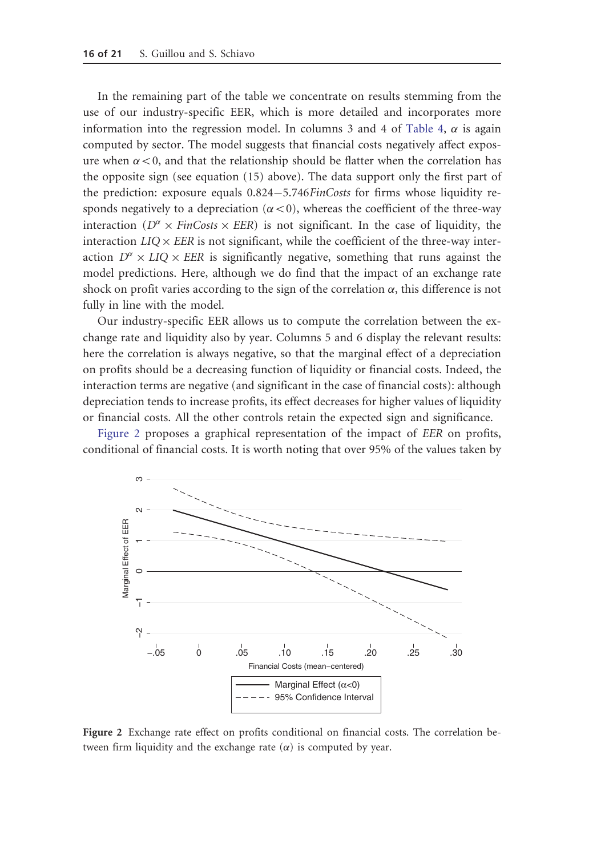In the remaining part of the table we concentrate on results stemming from the use of our industry-specific EER, which is more detailed and incorporates more information into the regression model. In columns 3 and 4 of Table 4,  $\alpha$  is again computed by sector. The model suggests that financial costs negatively affect exposure when  $\alpha$  < 0, and that the relationship should be flatter when the correlation has the opposite sign (see equation (15) above). The data support only the first part of the prediction: exposure equals  $0.824 - 5.746$ FinCosts for firms whose liquidity responds negatively to a depreciation ( $\alpha$ <0), whereas the coefficient of the three-way interaction ( $D^{\alpha} \times FinCost \times EER$ ) is not significant. In the case of liquidity, the interaction  $LIQ \times EER$  is not significant, while the coefficient of the three-way interaction  $D^{\alpha} \times LIQ \times EER$  is significantly negative, something that runs against the model predictions. Here, although we do find that the impact of an exchange rate shock on profit varies according to the sign of the correlation  $\alpha$ , this difference is not fully in line with the model.

Our industry-specific EER allows us to compute the correlation between the exchange rate and liquidity also by year. Columns 5 and 6 display the relevant results: here the correlation is always negative, so that the marginal effect of a depreciation on profits should be a decreasing function of liquidity or financial costs. Indeed, the interaction terms are negative (and significant in the case of financial costs): although depreciation tends to increase profits, its effect decreases for higher values of liquidity or financial costs. All the other controls retain the expected sign and significance.

Figure 2 proposes a graphical representation of the impact of EER on profits, conditional of financial costs. It is worth noting that over 95% of the values taken by



Figure 2 Exchange rate effect on profits conditional on financial costs. The correlation between firm liquidity and the exchange rate  $(\alpha)$  is computed by year.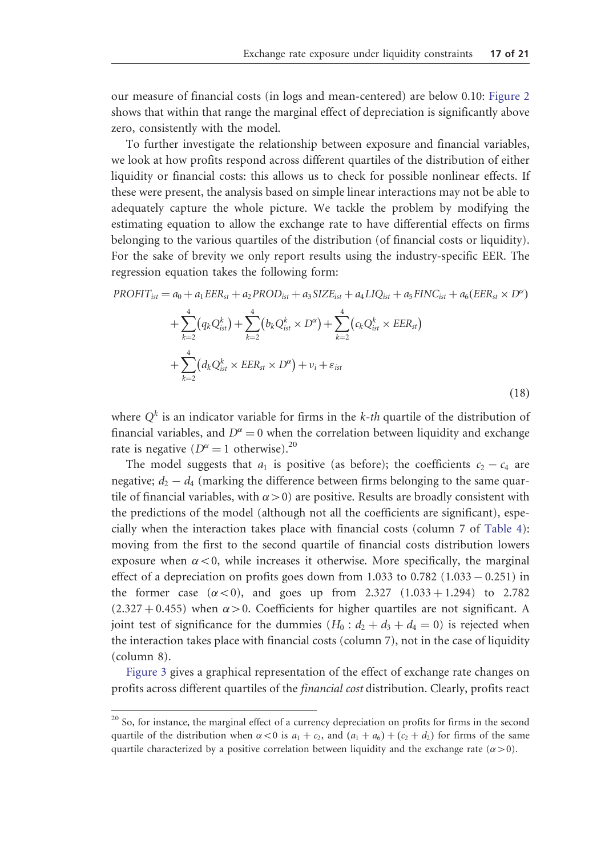our measure of financial costs (in logs and mean-centered) are below 0.10: Figure 2 shows that within that range the marginal effect of depreciation is significantly above zero, consistently with the model.

To further investigate the relationship between exposure and financial variables, we look at how profits respond across different quartiles of the distribution of either liquidity or financial costs: this allows us to check for possible nonlinear effects. If these were present, the analysis based on simple linear interactions may not be able to adequately capture the whole picture. We tackle the problem by modifying the estimating equation to allow the exchange rate to have differential effects on firms belonging to the various quartiles of the distribution (of financial costs or liquidity). For the sake of brevity we only report results using the industry-specific EER. The regression equation takes the following form:

$$
PROFIT_{ist} = a_0 + a_1 EER_{st} + a_2 PROD_{ist} + a_3 SIZE_{ist} + a_4 LIQ_{ist} + a_5 FINC_{ist} + a_6 (EER_{st} \times D^{\alpha})
$$
  
+ 
$$
\sum_{k=2}^{4} (q_k Q_{ist}^k) + \sum_{k=2}^{4} (b_k Q_{ist}^k \times D^{\alpha}) + \sum_{k=2}^{4} (c_k Q_{ist}^k \times EER_{st})
$$
  
+ 
$$
\sum_{k=2}^{4} (d_k Q_{ist}^k \times EER_{st} \times D^{\alpha}) + v_i + \varepsilon_{ist}
$$
(18)

where  $Q<sup>k</sup>$  is an indicator variable for firms in the k-th quartile of the distribution of financial variables, and  $D^{\alpha} = 0$  when the correlation between liquidity and exchange rate is negative  $(D^{\alpha} = 1 \text{ otherwise}).^{20}$ 

The model suggests that  $a_1$  is positive (as before); the coefficients  $c_2 - c_4$  are negative;  $d_2 - d_4$  (marking the difference between firms belonging to the same quartile of financial variables, with  $\alpha > 0$ ) are positive. Results are broadly consistent with the predictions of the model (although not all the coefficients are significant), especially when the interaction takes place with financial costs (column 7 of Table 4): moving from the first to the second quartile of financial costs distribution lowers exposure when  $\alpha < 0$ , while increases it otherwise. More specifically, the marginal effect of a depreciation on profits goes down from  $1.033$  to  $0.782$   $(1.033 - 0.251)$  in the former case  $(\alpha < 0)$ , and goes up from 2.327  $(1.033 + 1.294)$  to 2.782  $(2.327 + 0.455)$  when  $\alpha > 0$ . Coefficients for higher quartiles are not significant. A joint test of significance for the dummies  $(H_0 : d_2 + d_3 + d_4 = 0)$  is rejected when the interaction takes place with financial costs (column 7), not in the case of liquidity (column 8).

Figure 3 gives a graphical representation of the effect of exchange rate changes on profits across different quartiles of the financial cost distribution. Clearly, profits react

 $20$  So, for instance, the marginal effect of a currency depreciation on profits for firms in the second quartile of the distribution when  $\alpha < 0$  is  $a_1 + c_2$ , and  $(a_1 + a_6) + (c_2 + d_2)$  for firms of the same quartile characterized by a positive correlation between liquidity and the exchange rate ( $\alpha > 0$ ).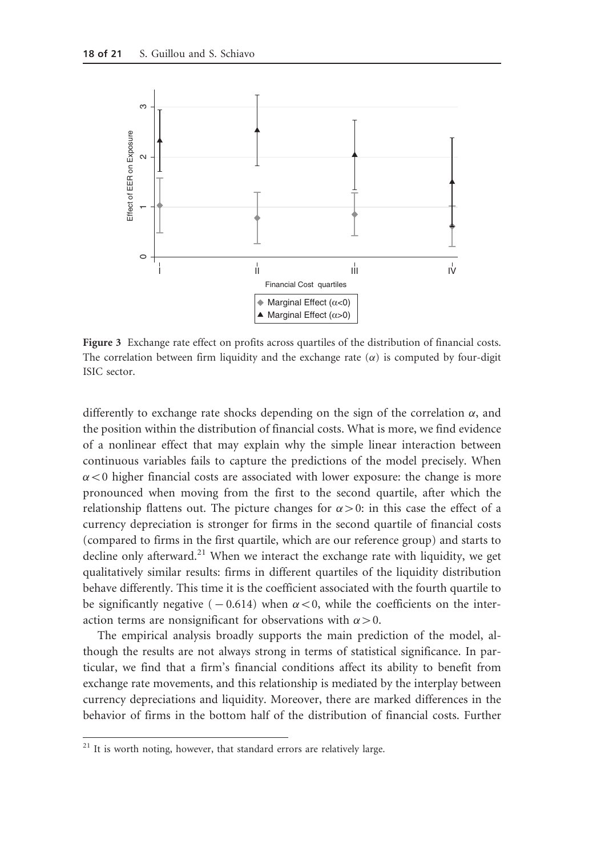

Figure 3 Exchange rate effect on profits across quartiles of the distribution of financial costs. The correlation between firm liquidity and the exchange rate  $(\alpha)$  is computed by four-digit ISIC sector.

differently to exchange rate shocks depending on the sign of the correlation  $\alpha$ , and the position within the distribution of financial costs. What is more, we find evidence of a nonlinear effect that may explain why the simple linear interaction between continuous variables fails to capture the predictions of the model precisely. When  $\alpha$ <0 higher financial costs are associated with lower exposure: the change is more pronounced when moving from the first to the second quartile, after which the relationship flattens out. The picture changes for  $\alpha > 0$ : in this case the effect of a currency depreciation is stronger for firms in the second quartile of financial costs (compared to firms in the first quartile, which are our reference group) and starts to decline only afterward.<sup>21</sup> When we interact the exchange rate with liquidity, we get qualitatively similar results: firms in different quartiles of the liquidity distribution behave differently. This time it is the coefficient associated with the fourth quartile to be significantly negative  $(-0.614)$  when  $\alpha < 0$ , while the coefficients on the interaction terms are nonsignificant for observations with  $\alpha > 0$ .

The empirical analysis broadly supports the main prediction of the model, although the results are not always strong in terms of statistical significance. In particular, we find that a firm's financial conditions affect its ability to benefit from exchange rate movements, and this relationship is mediated by the interplay between currency depreciations and liquidity. Moreover, there are marked differences in the behavior of firms in the bottom half of the distribution of financial costs. Further

 $21$  It is worth noting, however, that standard errors are relatively large.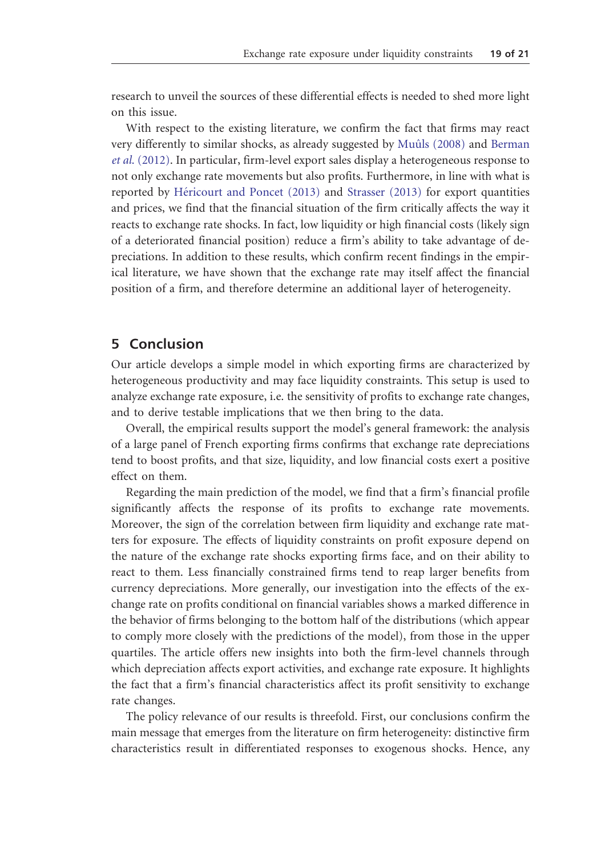research to unveil the sources of these differential effects is needed to shed more light on this issue.

With respect to the existing literature, we confirm the fact that firms may react very differently to similar shocks, as already suggested by Muûls (2008) and Berman et al. (2012). In particular, firm-level export sales display a heterogeneous response to not only exchange rate movements but also profits. Furthermore, in line with what is reported by Héricourt and Poncet (2013) and Strasser (2013) for export quantities and prices, we find that the financial situation of the firm critically affects the way it reacts to exchange rate shocks. In fact, low liquidity or high financial costs (likely sign of a deteriorated financial position) reduce a firm's ability to take advantage of depreciations. In addition to these results, which confirm recent findings in the empirical literature, we have shown that the exchange rate may itself affect the financial position of a firm, and therefore determine an additional layer of heterogeneity.

#### 5 Conclusion

Our article develops a simple model in which exporting firms are characterized by heterogeneous productivity and may face liquidity constraints. This setup is used to analyze exchange rate exposure, i.e. the sensitivity of profits to exchange rate changes, and to derive testable implications that we then bring to the data.

Overall, the empirical results support the model's general framework: the analysis of a large panel of French exporting firms confirms that exchange rate depreciations tend to boost profits, and that size, liquidity, and low financial costs exert a positive effect on them.

Regarding the main prediction of the model, we find that a firm's financial profile significantly affects the response of its profits to exchange rate movements. Moreover, the sign of the correlation between firm liquidity and exchange rate matters for exposure. The effects of liquidity constraints on profit exposure depend on the nature of the exchange rate shocks exporting firms face, and on their ability to react to them. Less financially constrained firms tend to reap larger benefits from currency depreciations. More generally, our investigation into the effects of the exchange rate on profits conditional on financial variables shows a marked difference in the behavior of firms belonging to the bottom half of the distributions (which appear to comply more closely with the predictions of the model), from those in the upper quartiles. The article offers new insights into both the firm-level channels through which depreciation affects export activities, and exchange rate exposure. It highlights the fact that a firm's financial characteristics affect its profit sensitivity to exchange rate changes.

The policy relevance of our results is threefold. First, our conclusions confirm the main message that emerges from the literature on firm heterogeneity: distinctive firm characteristics result in differentiated responses to exogenous shocks. Hence, any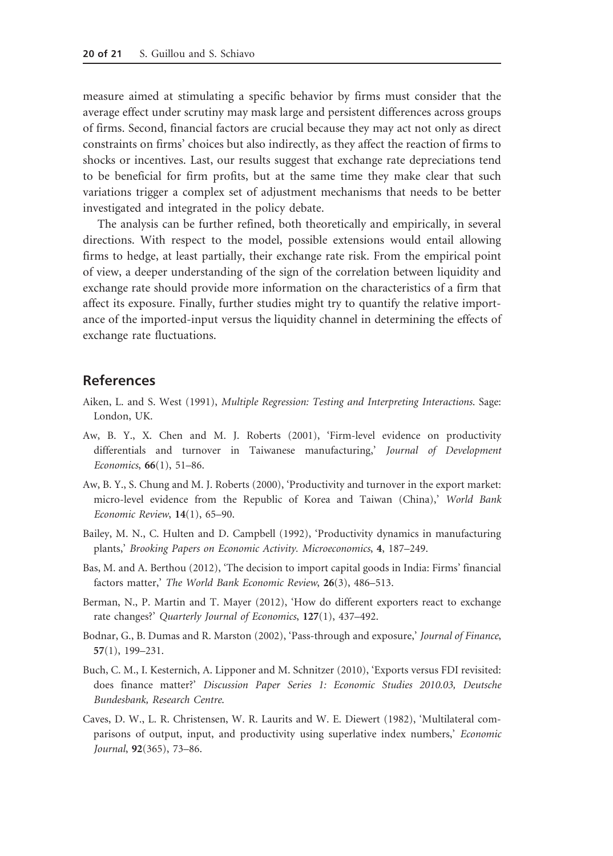measure aimed at stimulating a specific behavior by firms must consider that the average effect under scrutiny may mask large and persistent differences across groups of firms. Second, financial factors are crucial because they may act not only as direct constraints on firms' choices but also indirectly, as they affect the reaction of firms to shocks or incentives. Last, our results suggest that exchange rate depreciations tend to be beneficial for firm profits, but at the same time they make clear that such variations trigger a complex set of adjustment mechanisms that needs to be better investigated and integrated in the policy debate.

The analysis can be further refined, both theoretically and empirically, in several directions. With respect to the model, possible extensions would entail allowing firms to hedge, at least partially, their exchange rate risk. From the empirical point of view, a deeper understanding of the sign of the correlation between liquidity and exchange rate should provide more information on the characteristics of a firm that affect its exposure. Finally, further studies might try to quantify the relative importance of the imported-input versus the liquidity channel in determining the effects of exchange rate fluctuations.

#### References

- Aiken, L. and S. West (1991), Multiple Regression: Testing and Interpreting Interactions. Sage: London, UK.
- Aw, B. Y., X. Chen and M. J. Roberts (2001), 'Firm-level evidence on productivity differentials and turnover in Taiwanese manufacturing,' Journal of Development Economics, 66(1), 51–86.
- Aw, B. Y., S. Chung and M. J. Roberts (2000), 'Productivity and turnover in the export market: micro-level evidence from the Republic of Korea and Taiwan (China),' World Bank Economic Review, 14(1), 65–90.
- Bailey, M. N., C. Hulten and D. Campbell (1992), 'Productivity dynamics in manufacturing plants,' Brooking Papers on Economic Activity. Microeconomics, 4, 187–249.
- Bas, M. and A. Berthou (2012), 'The decision to import capital goods in India: Firms' financial factors matter,' The World Bank Economic Review, 26(3), 486–513.
- Berman, N., P. Martin and T. Mayer (2012), 'How do different exporters react to exchange rate changes?' Quarterly Journal of Economics, 127(1), 437–492.
- Bodnar, G., B. Dumas and R. Marston (2002), 'Pass-through and exposure,' Journal of Finance, 57(1), 199–231.
- Buch, C. M., I. Kesternich, A. Lipponer and M. Schnitzer (2010), 'Exports versus FDI revisited: does finance matter?' Discussion Paper Series 1: Economic Studies 2010.03, Deutsche Bundesbank, Research Centre.
- Caves, D. W., L. R. Christensen, W. R. Laurits and W. E. Diewert (1982), 'Multilateral comparisons of output, input, and productivity using superlative index numbers,' Economic Journal, 92(365), 73–86.